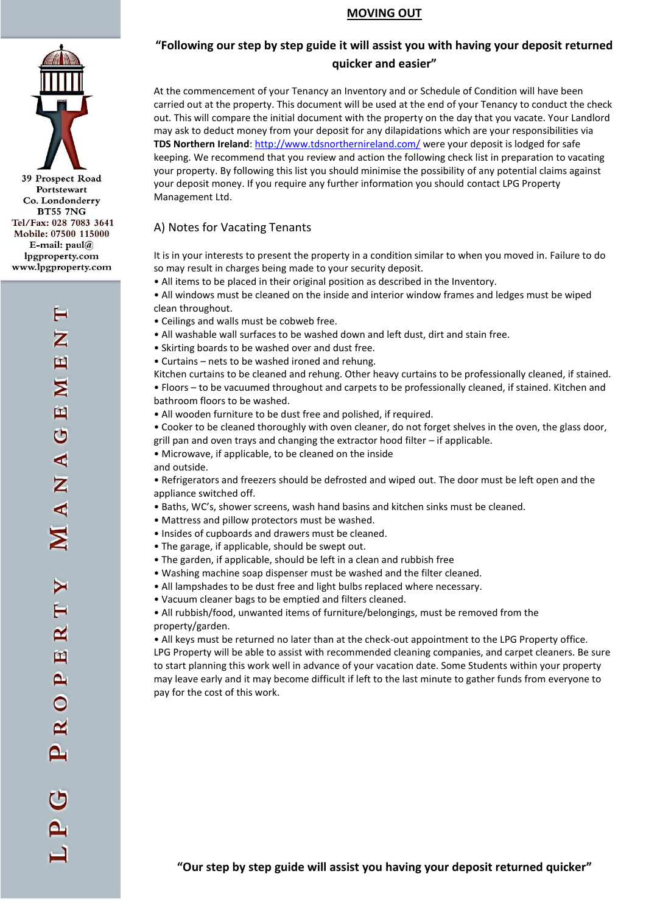

### **MOVING OUT**

# **"Following our step by step guide it will assist you with having your deposit returned quicker and easier"**

At the commencement of your Tenancy an Inventory and or Schedule of Condition will have been carried out at the property. This document will be used at the end of your Tenancy to conduct the check out. This will compare the initial document with the property on the day that you vacate. Your Landlord may ask to deduct money from your deposit for any dilapidations which are your responsibilities via **TDS Northern Ireland**: <http://www.tdsnorthernireland.com/> were your deposit is lodged for safe keeping. We recommend that you review and action the following check list in preparation to vacating your property. By following this list you should minimise the possibility of any potential claims against your deposit money. If you require any further information you should contact LPG Property Management Ltd.

## A) Notes for Vacating Tenants

It is in your interests to present the property in a condition similar to when you moved in. Failure to do so may result in charges being made to your security deposit.

• All items to be placed in their original position as described in the Inventory.

• All windows must be cleaned on the inside and interior window frames and ledges must be wiped clean throughout.

- Ceilings and walls must be cobweb free.
- All washable wall surfaces to be washed down and left dust, dirt and stain free.
- Skirting boards to be washed over and dust free.
- Curtains nets to be washed ironed and rehung.
- Kitchen curtains to be cleaned and rehung. Other heavy curtains to be professionally cleaned, if stained.

• Floors – to be vacuumed throughout and carpets to be professionally cleaned, if stained. Kitchen and bathroom floors to be washed.

- All wooden furniture to be dust free and polished, if required.
- Cooker to be cleaned thoroughly with oven cleaner, do not forget shelves in the oven, the glass door, grill pan and oven trays and changing the extractor hood filter – if applicable.
- Microwave, if applicable, to be cleaned on the inside and outside.
- Refrigerators and freezers should be defrosted and wiped out. The door must be left open and the appliance switched off.
- Baths, WC's, shower screens, wash hand basins and kitchen sinks must be cleaned.
- Mattress and pillow protectors must be washed.
- Insides of cupboards and drawers must be cleaned.
- The garage, if applicable, should be swept out.
- The garden, if applicable, should be left in a clean and rubbish free
- Washing machine soap dispenser must be washed and the filter cleaned.
- All lampshades to be dust free and light bulbs replaced where necessary.
- Vacuum cleaner bags to be emptied and filters cleaned.
- All rubbish/food, unwanted items of furniture/belongings, must be removed from the property/garden.

• All keys must be returned no later than at the check-out appointment to the LPG Property office. LPG Property will be able to assist with recommended cleaning companies, and carpet cleaners. Be sure to start planning this work well in advance of your vacation date. Some Students within your property may leave early and it may become difficult if left to the last minute to gather funds from everyone to pay for the cost of this work.